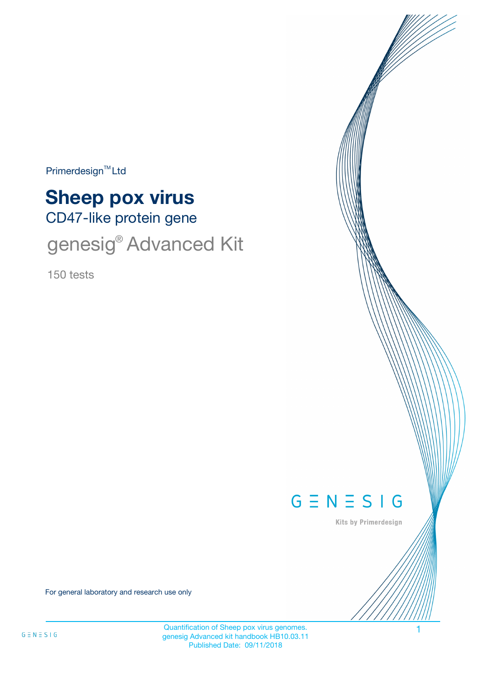$Primerdesign<sup>™</sup>Ltd$ 

# CD47-like protein gene **Sheep pox virus**

genesig® Advanced Kit

150 tests



Kits by Primerdesign

For general laboratory and research use only

Quantification of Sheep pox virus genomes. genesig Advanced kit handbook HB10.03.11 Published Date: 09/11/2018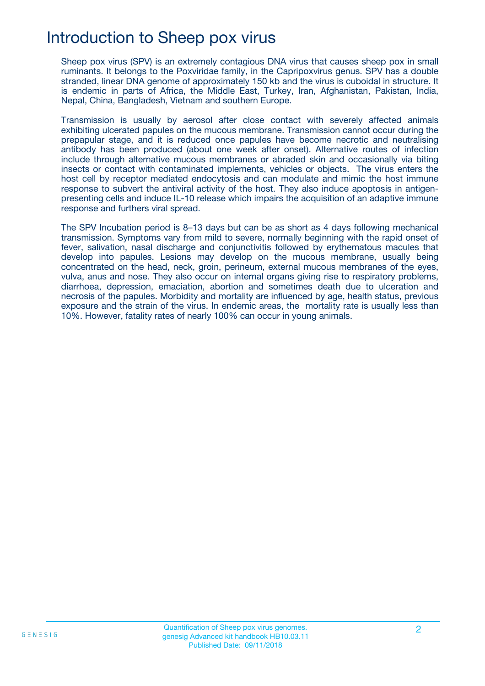### Introduction to Sheep pox virus

Sheep pox virus (SPV) is an extremely contagious DNA virus that causes sheep pox in small ruminants. It belongs to the Poxviridae family, in the Capripoxvirus genus. SPV has a double stranded, linear DNA genome of approximately 150 kb and the virus is cuboidal in structure. It is endemic in parts of Africa, the Middle East, Turkey, Iran, Afghanistan, Pakistan, India, Nepal, China, Bangladesh, Vietnam and southern Europe.

Transmission is usually by aerosol after close contact with severely affected animals exhibiting ulcerated papules on the mucous membrane. Transmission cannot occur during the prepapular stage, and it is reduced once papules have become necrotic and neutralising antibody has been produced (about one week after onset). Alternative routes of infection include through alternative mucous membranes or abraded skin and occasionally via biting insects or contact with contaminated implements, vehicles or objects. The virus enters the host cell by receptor mediated endocytosis and can modulate and mimic the host immune response to subvert the antiviral activity of the host. They also induce apoptosis in antigenpresenting cells and induce IL-10 release which impairs the acquisition of an adaptive immune response and furthers viral spread.

The SPV Incubation period is 8–13 days but can be as short as 4 days following mechanical transmission. Symptoms vary from mild to severe, normally beginning with the rapid onset of fever, salivation, nasal discharge and conjunctivitis followed by erythematous macules that develop into papules. Lesions may develop on the mucous membrane, usually being concentrated on the head, neck, groin, perineum, external mucous membranes of the eyes, vulva, anus and nose. They also occur on internal organs giving rise to respiratory problems, diarrhoea, depression, emaciation, abortion and sometimes death due to ulceration and necrosis of the papules. Morbidity and mortality are influenced by age, health status, previous exposure and the strain of the virus. In endemic areas, the mortality rate is usually less than 10%. However, fatality rates of nearly 100% can occur in young animals.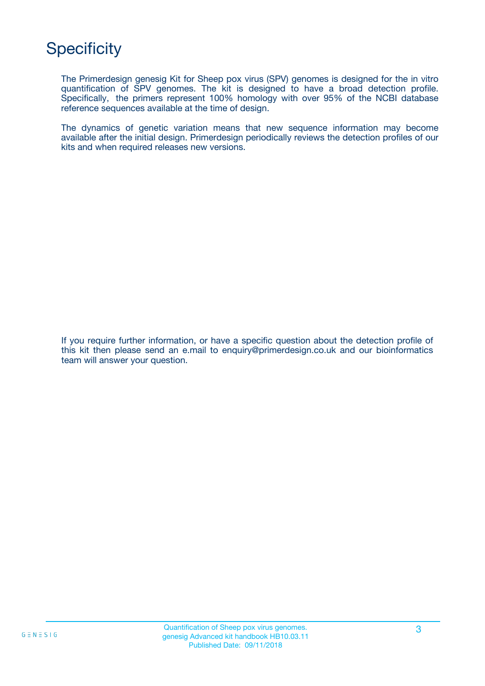## **Specificity**

The Primerdesign genesig Kit for Sheep pox virus (SPV) genomes is designed for the in vitro quantification of SPV genomes. The kit is designed to have a broad detection profile. Specifically, the primers represent 100% homology with over 95% of the NCBI database reference sequences available at the time of design.

The dynamics of genetic variation means that new sequence information may become available after the initial design. Primerdesign periodically reviews the detection profiles of our kits and when required releases new versions.

If you require further information, or have a specific question about the detection profile of this kit then please send an e.mail to enquiry@primerdesign.co.uk and our bioinformatics team will answer your question.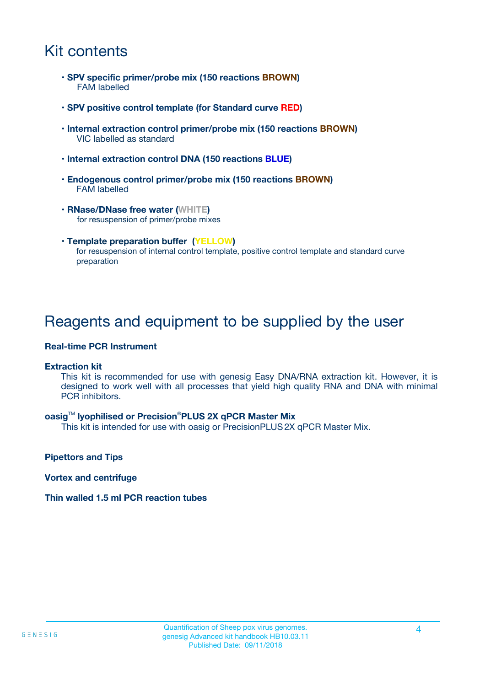## Kit contents

- **SPV specific primer/probe mix (150 reactions BROWN)** FAM labelled
- **SPV positive control template (for Standard curve RED)**
- **Internal extraction control primer/probe mix (150 reactions BROWN)** VIC labelled as standard
- **Internal extraction control DNA (150 reactions BLUE)**
- **Endogenous control primer/probe mix (150 reactions BROWN)** FAM labelled
- **RNase/DNase free water (WHITE)** for resuspension of primer/probe mixes
- **Template preparation buffer (YELLOW)** for resuspension of internal control template, positive control template and standard curve preparation

### Reagents and equipment to be supplied by the user

#### **Real-time PCR Instrument**

#### **Extraction kit**

This kit is recommended for use with genesig Easy DNA/RNA extraction kit. However, it is designed to work well with all processes that yield high quality RNA and DNA with minimal PCR inhibitors.

#### **oasig**TM **lyophilised or Precision**®**PLUS 2X qPCR Master Mix**

This kit is intended for use with oasig or PrecisionPLUS2X qPCR Master Mix.

**Pipettors and Tips**

**Vortex and centrifuge**

#### **Thin walled 1.5 ml PCR reaction tubes**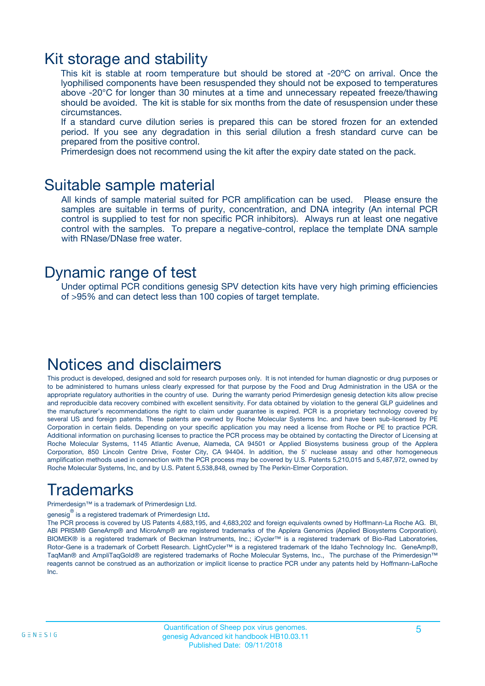### Kit storage and stability

This kit is stable at room temperature but should be stored at -20ºC on arrival. Once the lyophilised components have been resuspended they should not be exposed to temperatures above -20°C for longer than 30 minutes at a time and unnecessary repeated freeze/thawing should be avoided. The kit is stable for six months from the date of resuspension under these circumstances.

If a standard curve dilution series is prepared this can be stored frozen for an extended period. If you see any degradation in this serial dilution a fresh standard curve can be prepared from the positive control.

Primerdesign does not recommend using the kit after the expiry date stated on the pack.

### Suitable sample material

All kinds of sample material suited for PCR amplification can be used. Please ensure the samples are suitable in terms of purity, concentration, and DNA integrity (An internal PCR control is supplied to test for non specific PCR inhibitors). Always run at least one negative control with the samples. To prepare a negative-control, replace the template DNA sample with RNase/DNase free water.

### Dynamic range of test

Under optimal PCR conditions genesig SPV detection kits have very high priming efficiencies of >95% and can detect less than 100 copies of target template.

### Notices and disclaimers

This product is developed, designed and sold for research purposes only. It is not intended for human diagnostic or drug purposes or to be administered to humans unless clearly expressed for that purpose by the Food and Drug Administration in the USA or the appropriate regulatory authorities in the country of use. During the warranty period Primerdesign genesig detection kits allow precise and reproducible data recovery combined with excellent sensitivity. For data obtained by violation to the general GLP guidelines and the manufacturer's recommendations the right to claim under guarantee is expired. PCR is a proprietary technology covered by several US and foreign patents. These patents are owned by Roche Molecular Systems Inc. and have been sub-licensed by PE Corporation in certain fields. Depending on your specific application you may need a license from Roche or PE to practice PCR. Additional information on purchasing licenses to practice the PCR process may be obtained by contacting the Director of Licensing at Roche Molecular Systems, 1145 Atlantic Avenue, Alameda, CA 94501 or Applied Biosystems business group of the Applera Corporation, 850 Lincoln Centre Drive, Foster City, CA 94404. In addition, the 5' nuclease assay and other homogeneous amplification methods used in connection with the PCR process may be covered by U.S. Patents 5,210,015 and 5,487,972, owned by Roche Molecular Systems, Inc, and by U.S. Patent 5,538,848, owned by The Perkin-Elmer Corporation.

## Trademarks

Primerdesign™ is a trademark of Primerdesign Ltd.

genesig $^\circledR$  is a registered trademark of Primerdesign Ltd.

The PCR process is covered by US Patents 4,683,195, and 4,683,202 and foreign equivalents owned by Hoffmann-La Roche AG. BI, ABI PRISM® GeneAmp® and MicroAmp® are registered trademarks of the Applera Genomics (Applied Biosystems Corporation). BIOMEK® is a registered trademark of Beckman Instruments, Inc.; iCycler™ is a registered trademark of Bio-Rad Laboratories, Rotor-Gene is a trademark of Corbett Research. LightCycler™ is a registered trademark of the Idaho Technology Inc. GeneAmp®, TaqMan® and AmpliTaqGold® are registered trademarks of Roche Molecular Systems, Inc., The purchase of the Primerdesign™ reagents cannot be construed as an authorization or implicit license to practice PCR under any patents held by Hoffmann-LaRoche Inc.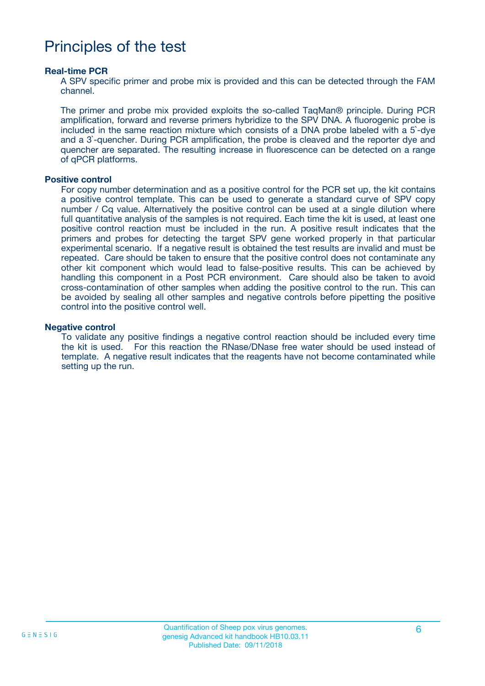### Principles of the test

#### **Real-time PCR**

A SPV specific primer and probe mix is provided and this can be detected through the FAM channel.

The primer and probe mix provided exploits the so-called TaqMan® principle. During PCR amplification, forward and reverse primers hybridize to the SPV DNA. A fluorogenic probe is included in the same reaction mixture which consists of a DNA probe labeled with a 5`-dye and a 3`-quencher. During PCR amplification, the probe is cleaved and the reporter dye and quencher are separated. The resulting increase in fluorescence can be detected on a range of qPCR platforms.

#### **Positive control**

For copy number determination and as a positive control for the PCR set up, the kit contains a positive control template. This can be used to generate a standard curve of SPV copy number / Cq value. Alternatively the positive control can be used at a single dilution where full quantitative analysis of the samples is not required. Each time the kit is used, at least one positive control reaction must be included in the run. A positive result indicates that the primers and probes for detecting the target SPV gene worked properly in that particular experimental scenario. If a negative result is obtained the test results are invalid and must be repeated. Care should be taken to ensure that the positive control does not contaminate any other kit component which would lead to false-positive results. This can be achieved by handling this component in a Post PCR environment. Care should also be taken to avoid cross-contamination of other samples when adding the positive control to the run. This can be avoided by sealing all other samples and negative controls before pipetting the positive control into the positive control well.

#### **Negative control**

To validate any positive findings a negative control reaction should be included every time the kit is used. For this reaction the RNase/DNase free water should be used instead of template. A negative result indicates that the reagents have not become contaminated while setting up the run.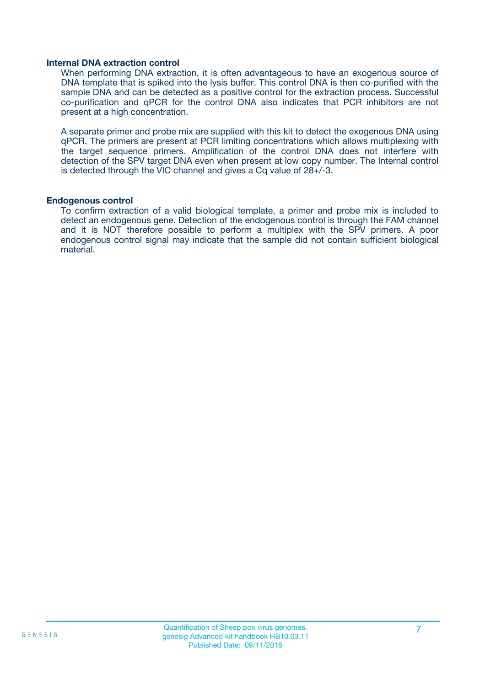#### **Internal DNA extraction control**

When performing DNA extraction, it is often advantageous to have an exogenous source of DNA template that is spiked into the lysis buffer. This control DNA is then co-purified with the sample DNA and can be detected as a positive control for the extraction process. Successful co-purification and qPCR for the control DNA also indicates that PCR inhibitors are not present at a high concentration.

A separate primer and probe mix are supplied with this kit to detect the exogenous DNA using qPCR. The primers are present at PCR limiting concentrations which allows multiplexing with the target sequence primers. Amplification of the control DNA does not interfere with detection of the SPV target DNA even when present at low copy number. The Internal control is detected through the VIC channel and gives a Cq value of 28+/-3.

#### **Endogenous control**

To confirm extraction of a valid biological template, a primer and probe mix is included to detect an endogenous gene. Detection of the endogenous control is through the FAM channel and it is NOT therefore possible to perform a multiplex with the SPV primers. A poor endogenous control signal may indicate that the sample did not contain sufficient biological material.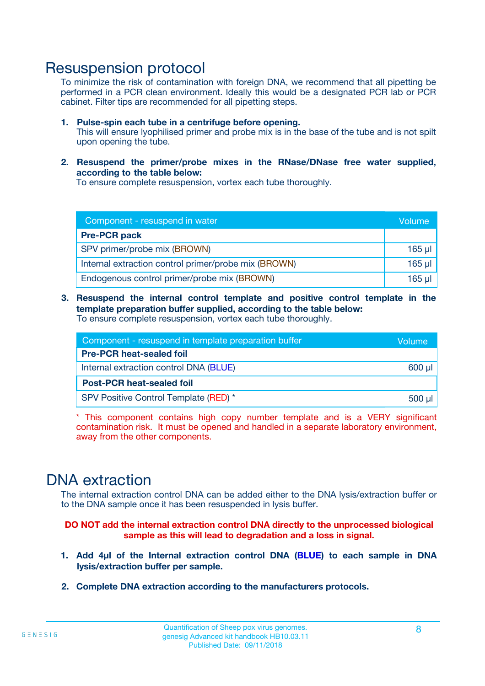### Resuspension protocol

To minimize the risk of contamination with foreign DNA, we recommend that all pipetting be performed in a PCR clean environment. Ideally this would be a designated PCR lab or PCR cabinet. Filter tips are recommended for all pipetting steps.

- **1. Pulse-spin each tube in a centrifuge before opening.** This will ensure lyophilised primer and probe mix is in the base of the tube and is not spilt upon opening the tube.
- **2. Resuspend the primer/probe mixes in the RNase/DNase free water supplied, according to the table below:**

To ensure complete resuspension, vortex each tube thoroughly.

| Component - resuspend in water                       |          |  |
|------------------------------------------------------|----------|--|
| <b>Pre-PCR pack</b>                                  |          |  |
| SPV primer/probe mix (BROWN)                         | $165$ µ  |  |
| Internal extraction control primer/probe mix (BROWN) | $165$ µl |  |
| Endogenous control primer/probe mix (BROWN)          | 165 µl   |  |

**3. Resuspend the internal control template and positive control template in the template preparation buffer supplied, according to the table below:** To ensure complete resuspension, vortex each tube thoroughly.

| Component - resuspend in template preparation buffer |          |  |  |
|------------------------------------------------------|----------|--|--|
| <b>Pre-PCR heat-sealed foil</b>                      |          |  |  |
| Internal extraction control DNA (BLUE)               |          |  |  |
| <b>Post-PCR heat-sealed foil</b>                     |          |  |  |
| SPV Positive Control Template (RED) *                | $500$ µl |  |  |

\* This component contains high copy number template and is a VERY significant contamination risk. It must be opened and handled in a separate laboratory environment, away from the other components.

### DNA extraction

The internal extraction control DNA can be added either to the DNA lysis/extraction buffer or to the DNA sample once it has been resuspended in lysis buffer.

**DO NOT add the internal extraction control DNA directly to the unprocessed biological sample as this will lead to degradation and a loss in signal.**

- **1. Add 4µl of the Internal extraction control DNA (BLUE) to each sample in DNA lysis/extraction buffer per sample.**
- **2. Complete DNA extraction according to the manufacturers protocols.**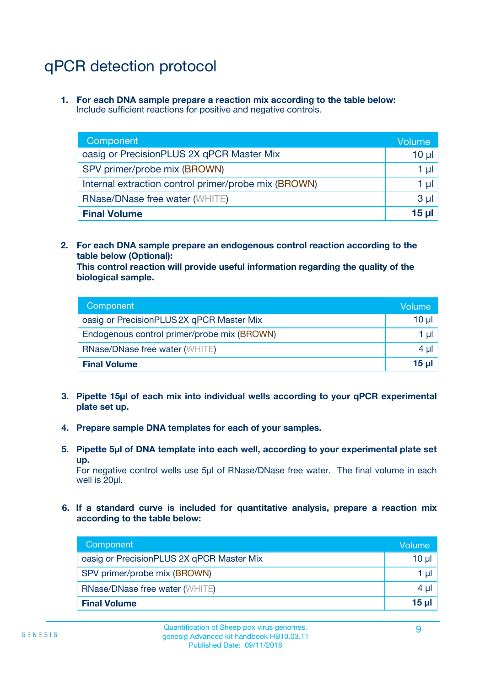# qPCR detection protocol

**1. For each DNA sample prepare a reaction mix according to the table below:** Include sufficient reactions for positive and negative controls.

| Component                                            | Volume   |
|------------------------------------------------------|----------|
| oasig or PrecisionPLUS 2X qPCR Master Mix            | 10 $\mu$ |
| SPV primer/probe mix (BROWN)                         | 1 µI     |
| Internal extraction control primer/probe mix (BROWN) | 1 µl     |
| <b>RNase/DNase free water (WHITE)</b>                | $3 \mu$  |
| <b>Final Volume</b>                                  | 15 µl    |

**2. For each DNA sample prepare an endogenous control reaction according to the table below (Optional):**

**This control reaction will provide useful information regarding the quality of the biological sample.**

| Component                                   | Volume          |
|---------------------------------------------|-----------------|
| oasig or PrecisionPLUS 2X qPCR Master Mix   | 10 <sub>µ</sub> |
| Endogenous control primer/probe mix (BROWN) | 1 µI            |
| <b>RNase/DNase free water (WHITE)</b>       | $4 \mu$         |
| <b>Final Volume</b>                         | 15 µl           |

- **3. Pipette 15µl of each mix into individual wells according to your qPCR experimental plate set up.**
- **4. Prepare sample DNA templates for each of your samples.**
- **5. Pipette 5µl of DNA template into each well, according to your experimental plate set up.**

For negative control wells use 5µl of RNase/DNase free water. The final volume in each well is 20ul.

**6. If a standard curve is included for quantitative analysis, prepare a reaction mix according to the table below:**

| Component                                 | Volume  |
|-------------------------------------------|---------|
| oasig or PrecisionPLUS 2X qPCR Master Mix | 10 µl   |
| SPV primer/probe mix (BROWN)              | 1 µI    |
| <b>RNase/DNase free water (WHITE)</b>     | $4 \mu$ |
| <b>Final Volume</b>                       | 15 µl   |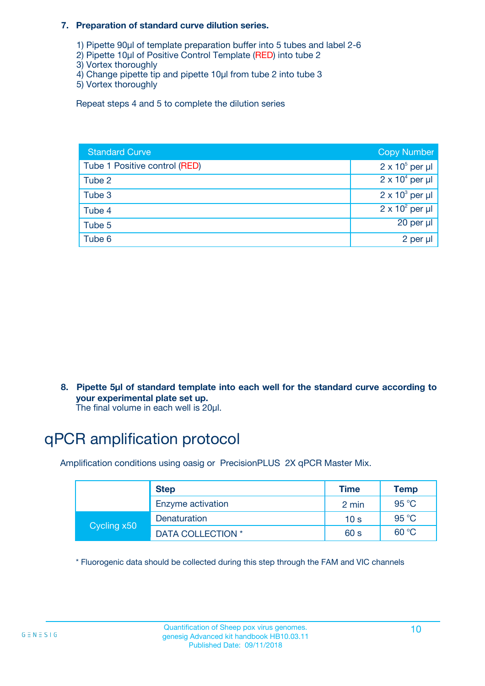#### **7. Preparation of standard curve dilution series.**

- 1) Pipette 90µl of template preparation buffer into 5 tubes and label 2-6
- 2) Pipette 10µl of Positive Control Template (RED) into tube 2
- 3) Vortex thoroughly
- 4) Change pipette tip and pipette 10µl from tube 2 into tube 3
- 5) Vortex thoroughly

Repeat steps 4 and 5 to complete the dilution series

| <b>Standard Curve</b>         | <b>Copy Number</b>     |
|-------------------------------|------------------------|
| Tube 1 Positive control (RED) | $2 \times 10^5$ per µl |
| Tube 2                        | $2 \times 10^4$ per µl |
| Tube 3                        | $2 \times 10^3$ per µl |
| Tube 4                        | $2 \times 10^2$ per µl |
| Tube 5                        | 20 per µl              |
| Tube 6                        | 2 per µl               |

**8. Pipette 5µl of standard template into each well for the standard curve according to your experimental plate set up.**

#### The final volume in each well is 20µl.

## qPCR amplification protocol

Amplification conditions using oasig or PrecisionPLUS 2X qPCR Master Mix.

|             | <b>Step</b>       | <b>Time</b>     | Temp    |
|-------------|-------------------|-----------------|---------|
|             | Enzyme activation | 2 min           | 95 °C   |
| Cycling x50 | Denaturation      | 10 <sub>s</sub> | 95 $°C$ |
|             | DATA COLLECTION * | 60 s            | 60 °C   |

\* Fluorogenic data should be collected during this step through the FAM and VIC channels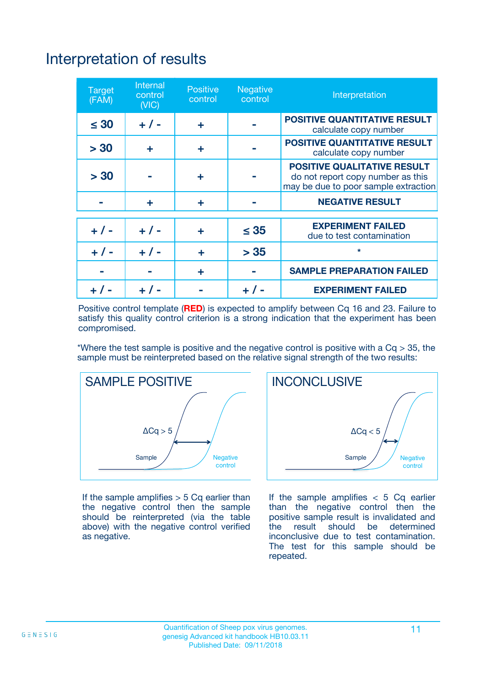# Interpretation of results

| <b>Target</b><br>(FAM) | <b>Internal</b><br>control<br>(NIC) | <b>Positive</b><br>control | <b>Negative</b><br>control | Interpretation                                                                                                  |
|------------------------|-------------------------------------|----------------------------|----------------------------|-----------------------------------------------------------------------------------------------------------------|
| $\leq 30$              | $+ 1 -$                             | ÷                          |                            | <b>POSITIVE QUANTITATIVE RESULT</b><br>calculate copy number                                                    |
| > 30                   | ٠                                   | ÷                          |                            | <b>POSITIVE QUANTITATIVE RESULT</b><br>calculate copy number                                                    |
| > 30                   |                                     | ÷                          |                            | <b>POSITIVE QUALITATIVE RESULT</b><br>do not report copy number as this<br>may be due to poor sample extraction |
|                        | ÷                                   | ÷                          |                            | <b>NEGATIVE RESULT</b>                                                                                          |
| $+ 1 -$                | $+ 1 -$                             | ÷                          | $\leq$ 35                  | <b>EXPERIMENT FAILED</b><br>due to test contamination                                                           |
| $+$ / -                | $+ 1 -$                             | ÷                          | > 35                       | $\star$                                                                                                         |
|                        |                                     | ÷                          |                            | <b>SAMPLE PREPARATION FAILED</b>                                                                                |
|                        |                                     |                            | $+$ /                      | <b>EXPERIMENT FAILED</b>                                                                                        |

Positive control template (**RED**) is expected to amplify between Cq 16 and 23. Failure to satisfy this quality control criterion is a strong indication that the experiment has been compromised.

\*Where the test sample is positive and the negative control is positive with a  $Ca > 35$ , the sample must be reinterpreted based on the relative signal strength of the two results:



If the sample amplifies  $> 5$  Cq earlier than the negative control then the sample should be reinterpreted (via the table above) with the negative control verified as negative.



If the sample amplifies  $< 5$  Cq earlier than the negative control then the positive sample result is invalidated and<br>the result should be determined  $the$  result should be inconclusive due to test contamination. The test for this sample should be repeated.